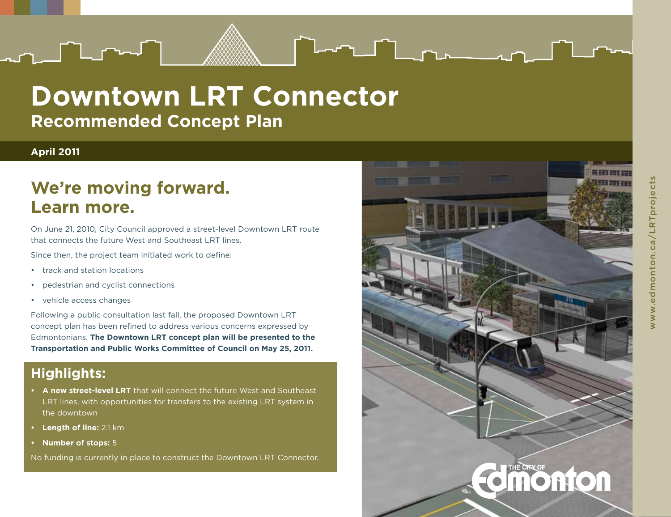

#### **April 2011**

## **We're moving forward. Learn more.**

On June 21, 2010, City Council approved a street-level Downtown LRT route that connects the future West and Southeast LRT lines.

Since then, the project team initiated work to define:

- • track and station locations
- • pedestrian and cyclist connections
- • vehicle access changes

Following a public consultation last fall, the proposed Downtown LRT concept plan has been refined to address various concerns expressed by Edmontonians. **The Downtown LRT concept plan will be presented to the Transportation and Public Works Committee of Council on May 25, 2011.**

#### **Highlights:**

- **• A new street-level LRT** that will connect the future West and Southeast LRT lines, with opportunities for transfers to the existing LRT system in the downtown
- **• Length of line:** 2.1 km
- **• Number of stops:** 5

No funding is currently in place to construct the Downtown LRT Connector.



 $T = \begin{bmatrix} 1 & 1 & 1 \\ 1 & 1 & 1 \end{bmatrix}$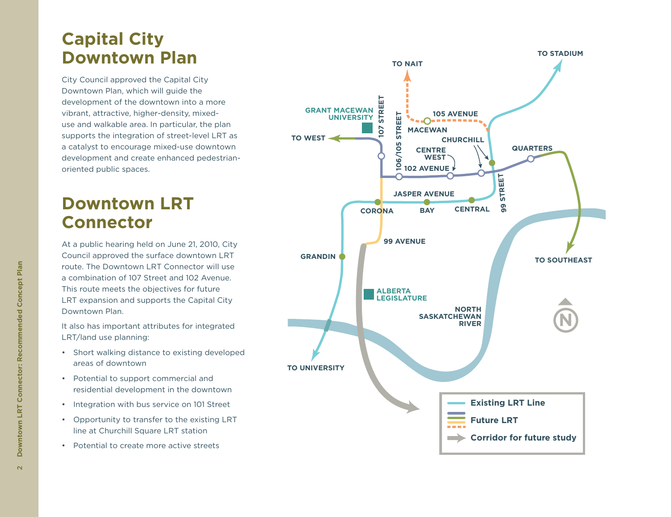## **Capital City Downtown Plan**

City Council approved the Capital City Downtown Plan, which will guide the development of the downtown into a more vibrant, attractive, higher-density, mixeduse and walkable area. In particular, the plan supports the integration of street-level LRT as a catalyst to encourage mixed-use downtown development and create enhanced pedestrianoriented public spaces.

## **Downtown LRT Connector**

At a public hearing held on June 21, 2010, City Council approved the surface downtown LRT route. The Downtown LRT Connector will use a combination of 107 Street and 102 Avenue. This route meets the objectives for future LRT expansion and supports the Capital City Downtown Plan.

It also has important attributes for integrated LRT/land use planning:

- • Short walking distance to existing developed areas of downtown
- • Potential to support commercial and residential development in the downtown
- • Integration with bus service on 101 Street
- • Opportunity to transfer to the existing LRT line at Churchill Square LRT station
- • Potential to create more active streets

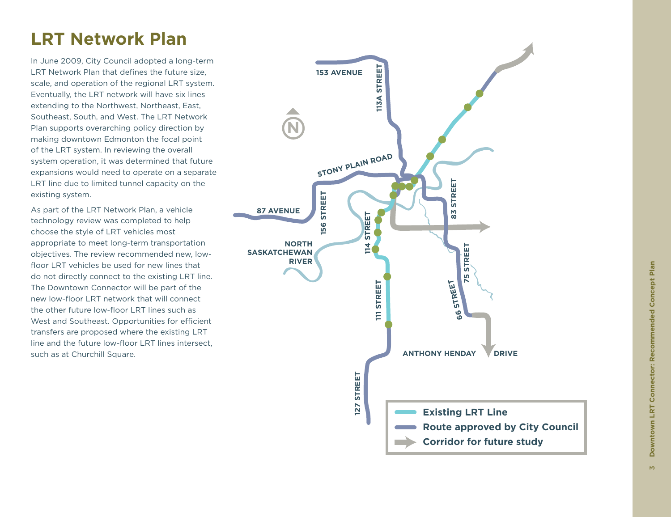## **LRT Network Plan**

In June 2009, City Council adopted a long-term LRT Network Plan that defines the future size, scale, and operation of the regional LRT system. Eventually, the LRT network will have six lines extending to the Northwest, Northeast, East, Southeast, South, and West. The LRT Network Plan supports overarching policy direction by making downtown Edmonton the focal point of the LRT system. In reviewing the overall system operation, it was determined that future expansions would need to operate on a separate LRT line due to limited tunnel capacity on the existing system.

As part of the LRT Network Plan, a vehicle technology review was completed to help choose the style of LRT vehicles most appropriate to meet long-term transportation objectives. The review recommended new, lowfloor LRT vehicles be used for new lines that do not directly connect to the existing LRT line. The Downtown Connector will be part of the new low-floor LRT network that will connect the other future low-floor LRT lines such as West and Southeast. Opportunities for efficient transfers are proposed where the existing LRT line and the future low-floor LRT lines intersect, such as at Churchill Square.

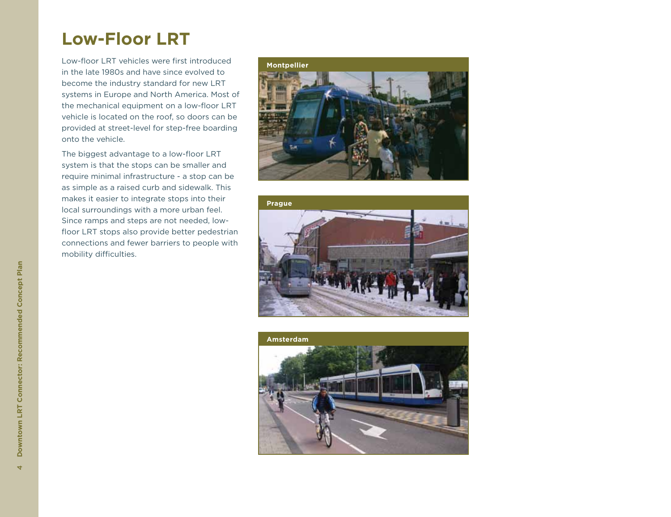## **Low-Floor LRT**

Low-floor LRT vehicles were first introduced in the late 1980s and have since evolved to become the industry standard for new LRT systems in Europe and North America. Most of the mechanical equipment on a low-floor LRT vehicle is located on the roof, so doors can be provided at street-level for step-free boarding onto the vehicle.

The biggest advantage to a low-floor LRT system is that the stops can be smaller and require minimal infrastructure - a stop can be as simple as a raised curb and sidewalk. This makes it easier to integrate stops into their local surroundings with a more urban feel. Since ramps and steps are not needed, lowfloor LRT stops also provide better pedestrian connections and fewer barriers to people with mobility difficulties.





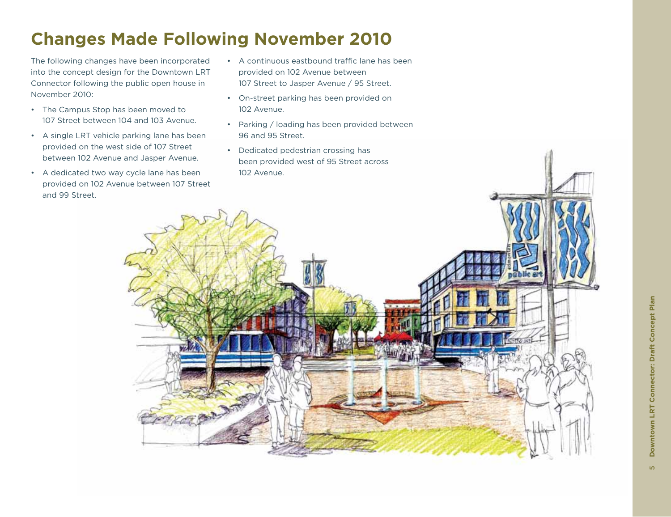## **Changes Made Following November 2010**

The following changes have been incorporated into the concept design for the Downtown LRT Connector following the public open house in November 2010:

- • The Campus Stop has been moved to 107 Street between 104 and 103 Avenue.
- • A single LRT vehicle parking lane has been provided on the west side of 107 Street between 102 Avenue and Jasper Avenue.
- • A dedicated two way cycle lane has been provided on 102 Avenue between 107 Street and 99 Street.
- • A continuous eastbound traffic lane has been provided on 102 Avenue between 107 Street to Jasper Avenue / 95 Street.
- • On-street parking has been provided on 102 Avenue.
- • Parking / loading has been provided between 96 and 95 Street.
- • Dedicated pedestrian crossing has been provided west of 95 Street across 102 Avenue.

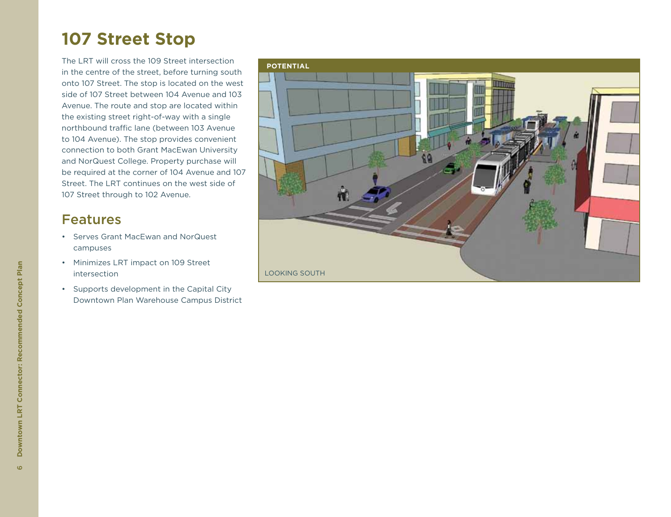## **107 Street Stop**

The LRT will cross the 109 Street intersection in the centre of the street, before turning south onto 107 Street. The stop is located on the west side of 107 Street between 104 Avenue and 103 Avenue. The route and stop are located within the existing street right-of-way with a single northbound traffic lane (between 103 Avenue to 104 Avenue). The stop provides convenient connection to both Grant MacEwan University and NorQuest College. Property purchase will be required at the corner of 104 Avenue and 107 Street. The LRT continues on the west side of 107 Street through to 102 Avenue.

- • Serves Grant MacEwan and NorQuest campuses
- • Minimizes LRT impact on 109 Street intersection
- • Supports development in the Capital City Downtown Plan Warehouse Campus District

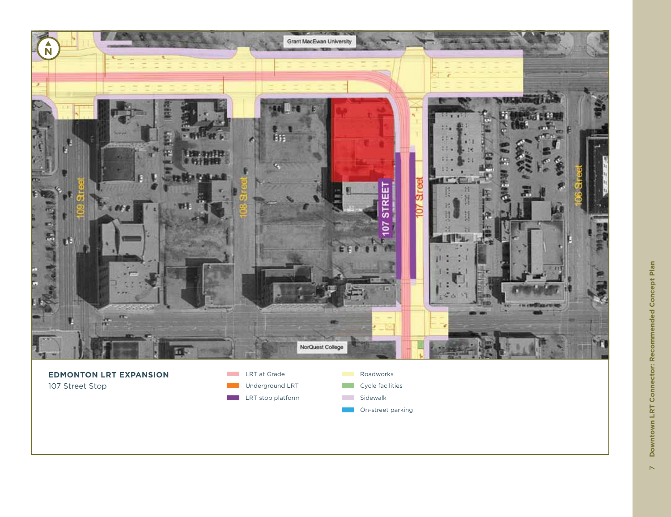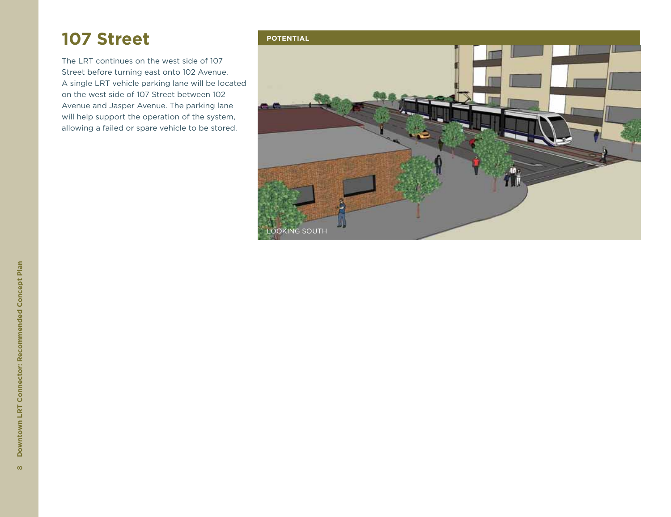## **107 Street**

The LRT continues on the west side of 107 Street before turning east onto 102 Avenue. A single LRT vehicle parking lane will be located on the west side of 107 Street between 102 Avenue and Jasper Avenue. The parking lane will help support the operation of the system, allowing a failed or spare vehicle to be stored.

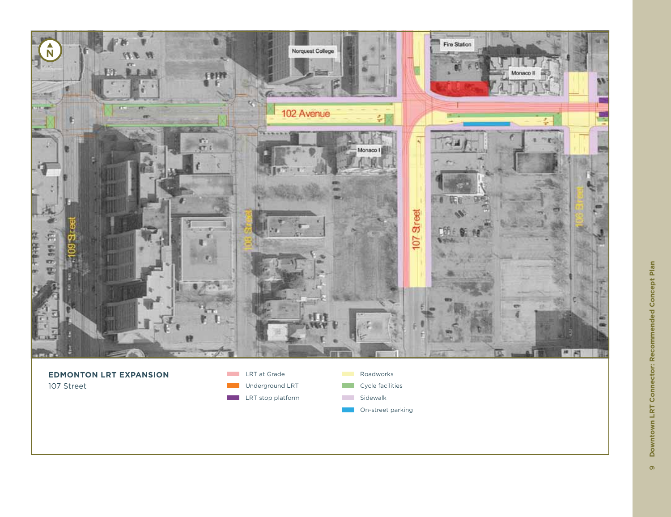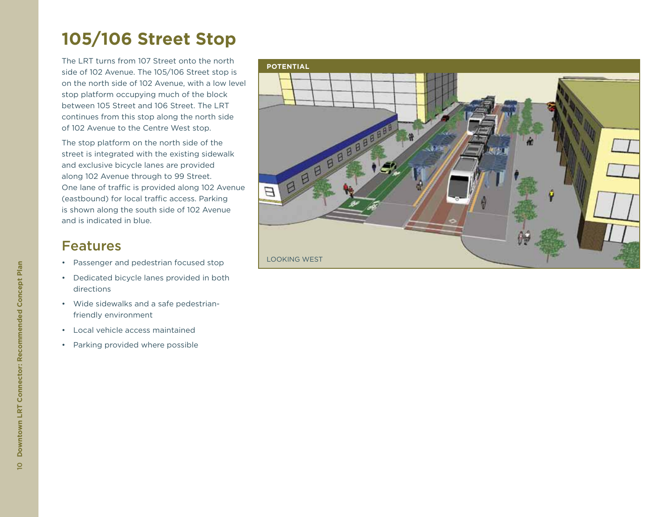## **105/106 Street Stop**

The LRT turns from 107 Street onto the north side of 102 Avenue. The 105/106 Street stop is on the north side of 102 Avenue, with a low level stop platform occupying much of the block between 105 Street and 106 Street. The LRT continues from this stop along the north side of 102 Avenue to the Centre West stop.

The stop platform on the north side of the street is integrated with the existing sidewalk and exclusive bicycle lanes are provided along 102 Avenue through to 99 Street. One lane of traffic is provided along 102 Avenue (eastbound) for local traffic access. Parking is shown along the south side of 102 Avenue and is indicated in blue.

- • Passenger and pedestrian focused stop
- • Dedicated bicycle lanes provided in both directions
- • Wide sidewalks and a safe pedestrianfriendly environment
- • Local vehicle access maintained
- • Parking provided where possible

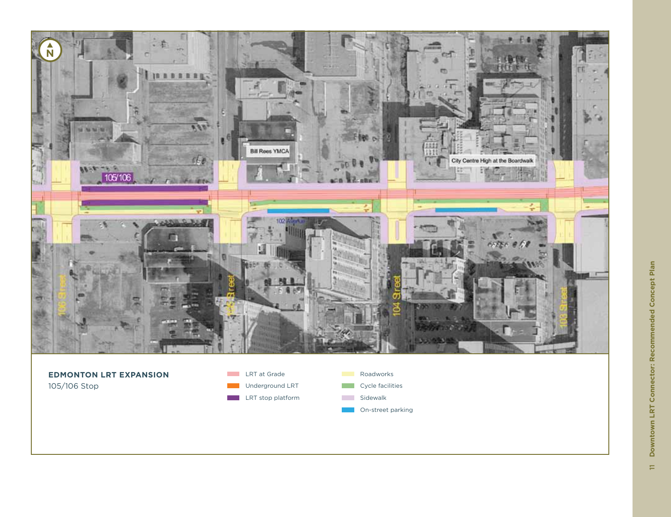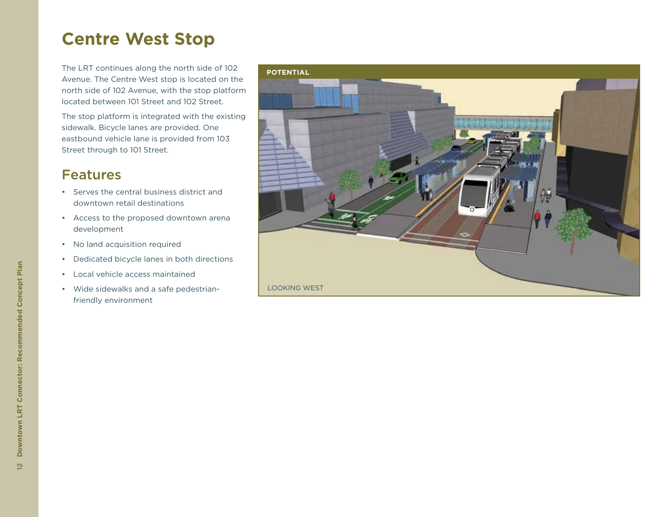## **Centre West Stop**

The LRT continues along the north side of 102 Avenue. The Centre West stop is located on the north side of 102 Avenue, with the stop platform located between 101 Street and 102 Street.

The stop platform is integrated with the existing sidewalk. Bicycle lanes are provided. One eastbound vehicle lane is provided from 103 Street through to 101 Street.

- • Serves the central business district and downtown retail destinations
- • Access to the proposed downtown arena development
- • No land acquisition required
- • Dedicated bicycle lanes in both directions
- • Local vehicle access maintained
- • Wide sidewalks and a safe pedestrianfriendly environment

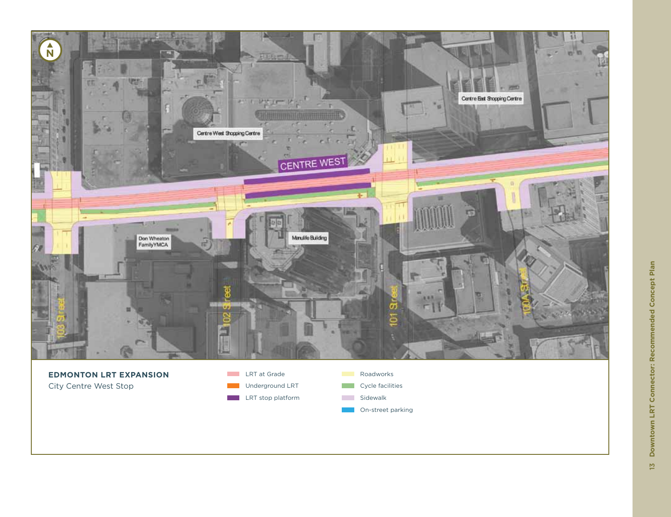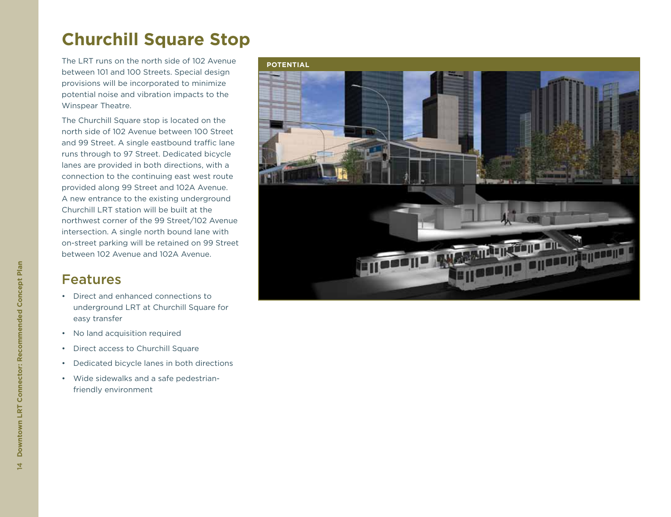## **Churchill Square Stop**

The LRT runs on the north side of 102 Avenue between 101 and 100 Streets. Special design provisions will be incorporated to minimize potential noise and vibration impacts to the Winspear Theatre.

The Churchill Square stop is located on the north side of 102 Avenue between 100 Street and 99 Street. A single eastbound traffic lane runs through to 97 Street. Dedicated bicycle lanes are provided in both directions, with a connection to the continuing east west route provided along 99 Street and 102A Avenue. A new entrance to the existing underground Churchill LRT station will be built at the northwest corner of the 99 Street/102 Avenue intersection. A single north bound lane with on-street parking will be retained on 99 Street between 102 Avenue and 102A Avenue.

- • Direct and enhanced connections to underground LRT at Churchill Square for easy transfer
- • No land acquisition required
- • Direct access to Churchill Square
- • Dedicated bicycle lanes in both directions
- • Wide sidewalks and a safe pedestrianfriendly environment

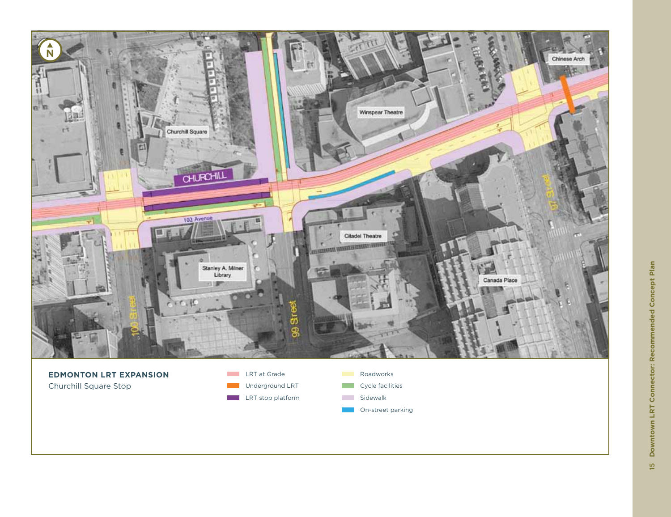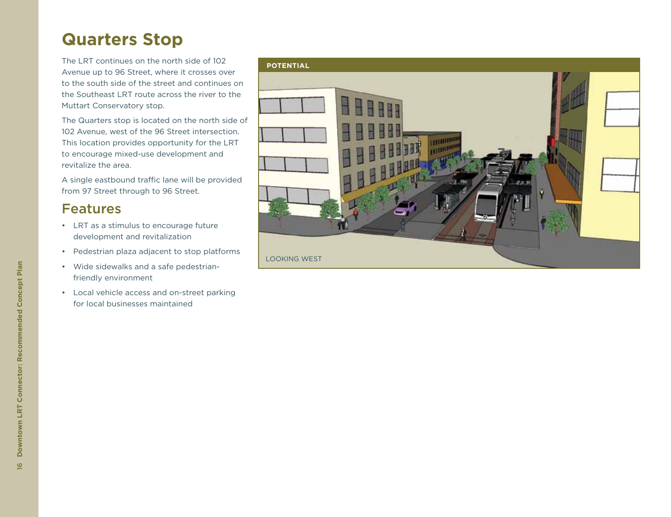## **Quarters Stop**

The LRT continues on the north side of 102 Avenue up to 96 Street, where it crosses over to the south side of the street and continues on the Southeast LRT route across the river to the Muttart Conservatory stop.

The Quarters stop is located on the north side of 102 Avenue, west of the 96 Street intersection. This location provides opportunity for the LRT to encourage mixed-use development and revitalize the area.

A single eastbound traffic lane will be provided from 97 Street through to 96 Street.

- • LRT as a stimulus to encourage future development and revitalization
- • Pedestrian plaza adjacent to stop platforms
- • Wide sidewalks and a safe pedestrianfriendly environment
- • Local vehicle access and on-street parking for local businesses maintained

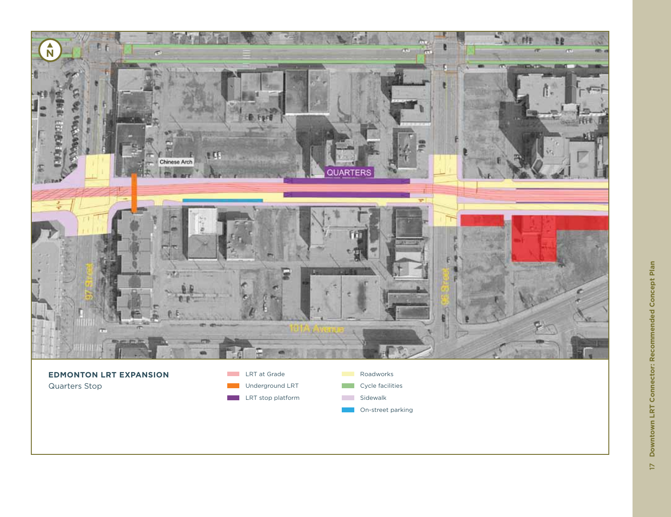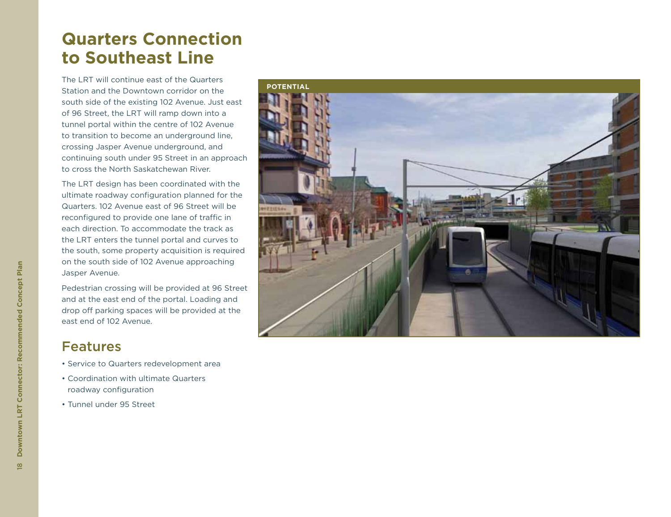## **Quarters Connection to Southeast Line**

The LRT will continue east of the Quarters Station and the Downtown corridor on the south side of the existing 102 Avenue. Just east of 96 Street, the LRT will ramp down into a tunnel portal within the centre of 102 Avenue to transition to become an underground line, crossing Jasper Avenue underground, and continuing south under 95 Street in an approach to cross the North Saskatchewan River.

The LRT design has been coordinated with the ultimate roadway configuration planned for the Quarters. 102 Avenue east of 96 Street will be reconfigured to provide one lane of traffic in each direction. To accommodate the track as the LRT enters the tunnel portal and curves to the south, some property acquisition is required on the south side of 102 Avenue approaching Jasper Avenue.

Pedestrian crossing will be provided at 96 Street and at the east end of the portal. Loading and drop off parking spaces will be provided at the east end of 102 Avenue.

- Service to Quarters redevelopment area
- Coordination with ultimate Quarters roadway configuration
- Tunnel under 95 Street

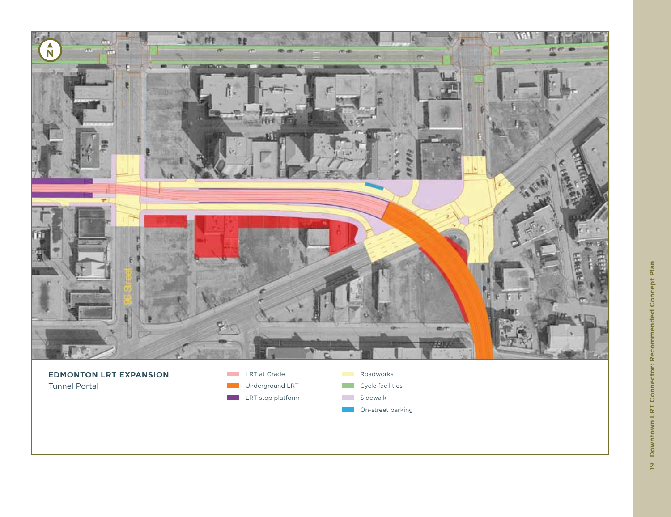